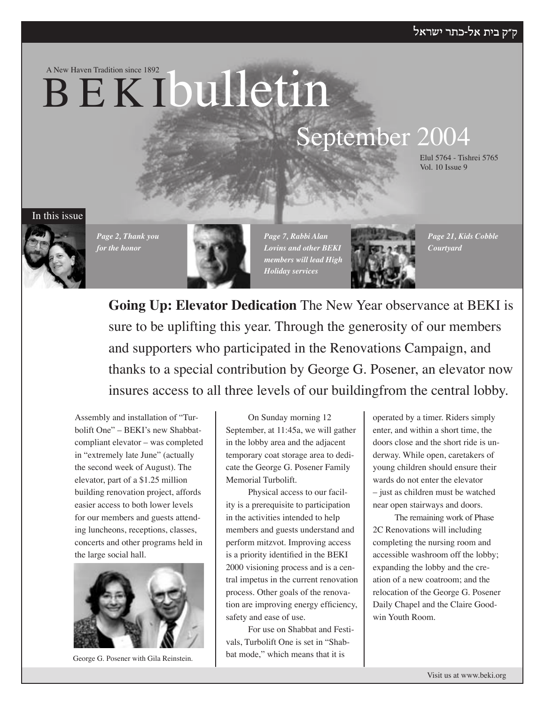A New Haven Tradition since 1892

# **BEKIbulletin**

# September 2004

Elul 5764 - Tishrei 5765 Vol. 10 Issue 9

In this issue



*Page 2, Thank you for the honor*



*Page 7, Rabbi Alan Lovins and other BEKI members will lead High Holiday services*



*Page 21, Kids Cobble Courtyard*

**Going Up: Elevator Dedication** The New Year observance at BEKI is sure to be uplifting this year. Through the generosity of our members and supporters who participated in the Renovations Campaign, and thanks to a special contribution by George G. Posener, an elevator now insures access to all three levels of our buildingfrom the central lobby.

Assembly and installation of "Turbolift One" – BEKI's new Shabbatcompliant elevator – was completed in "extremely late June" (actually the second week of August). The elevator, part of a \$1.25 million building renovation project, affords easier access to both lower levels for our members and guests attending luncheons, receptions, classes, concerts and other programs held in the large social hall.



George G. Posener with Gila Reinstein.

On Sunday morning 12 September, at 11:45a, we will gather in the lobby area and the adjacent temporary coat storage area to dedicate the George G. Posener Family Memorial Turbolift.

Physical access to our facility is a prerequisite to participation in the activities intended to help members and guests understand and perform mitzvot. Improving access is a priority identified in the BEKI 2000 visioning process and is a central impetus in the current renovation process. Other goals of the renovation are improving energy efficiency, safety and ease of use.

For use on Shabbat and Festivals, Turbolift One is set in "Shabbat mode," which means that it is

operated by a timer. Riders simply enter, and within a short time, the doors close and the short ride is underway. While open, caretakers of young children should ensure their wards do not enter the elevator – just as children must be watched near open stairways and doors.

The remaining work of Phase 2C Renovations will including completing the nursing room and accessible washroom off the lobby; expanding the lobby and the creation of a new coatroom; and the relocation of the George G. Posener Daily Chapel and the Claire Goodwin Youth Room.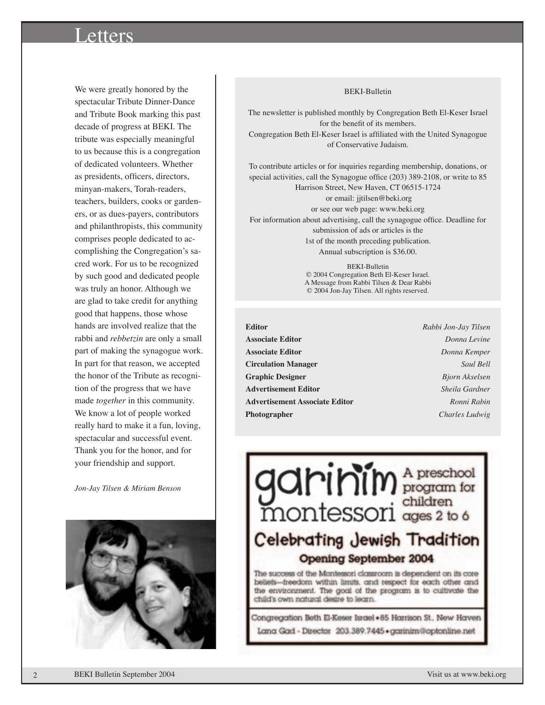# Letters

We were greatly honored by the spectacular Tribute Dinner-Dance and Tribute Book marking this past decade of progress at BEKI. The tribute was especially meaningful to us because this is a congregation of dedicated volunteers. Whether as presidents, officers, directors, minyan-makers, Torah-readers, teachers, builders, cooks or gardeners, or as dues-payers, contributors and philanthropists, this community comprises people dedicated to accomplishing the Congregation's sacred work. For us to be recognized by such good and dedicated people was truly an honor. Although we are glad to take credit for anything good that happens, those whose hands are involved realize that the rabbi and *rebbetzin* are only a small part of making the synagogue work. In part for that reason, we accepted the honor of the Tribute as recognition of the progress that we have made *together* in this community. We know a lot of people worked really hard to make it a fun, loving, spectacular and successful event. Thank you for the honor, and for your friendship and support.

*Jon-Jay Tilsen & Miriam Benson*



#### BEKI-Bulletin

The newsletter is published monthly by Congregation Beth El-Keser Israel for the benefit of its members. Congregation Beth El-Keser Israel is affiliated with the United Synagogue of Conservative Judaism.

To contribute articles or for inquiries regarding membership, donations, or special activities, call the Synagogue office (203) 389-2108, or write to 85 Harrison Street, New Haven, CT 06515-1724 or email: jjtilsen@beki.org

or see our web page: www.beki.org For information about advertising, call the synagogue office. Deadline for submission of ads or articles is the 1st of the month preceding publication. Annual subscription is \$36.00.

> BEKI-Bulletin © 2004 Congregation Beth El-Keser Israel. A Message from Rabbi Tilsen & Dear Rabbi © 2004 Jon-Jay Tilsen. All rights reserved.

- **Editor** *Rabbi Jon-Jay Tilsen* **Associate Editor** *Donna Levine* **Associate Editor** *Donna Kemper* **Circulation Manager** *Saul Bell* **Graphic Designer** *Bjorn Akselsen* **Advertisement Editor** *Sheila Gardner* **Advertisement Associate Editor** *Ronni Rabin* **Photographer** *Charles Ludwig*
	-



the environment. The goal of the program is to cultivate the child's own natural desire to learn.

Congregation Beth El-Keser Israel - 85 Harrison St., New Haven Lana Gad - Director 203.389.7445 · garinim@optonline.net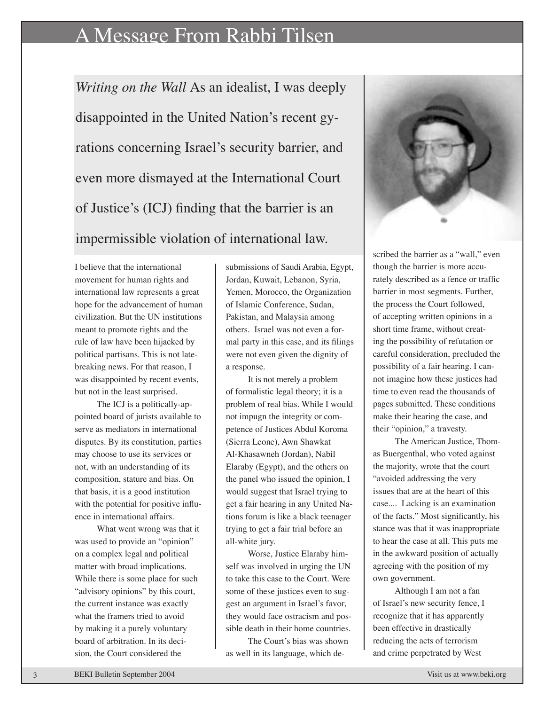# A Message From Rabbi Tilsen

*Writing on the Wall* As an idealist, I was deeply disappointed in the United Nation's recent gyrations concerning Israel's security barrier, and even more dismayed at the International Court of Justice's (ICJ) finding that the barrier is an impermissible violation of international law.

I believe that the international movement for human rights and international law represents a great hope for the advancement of human civilization. But the UN institutions meant to promote rights and the rule of law have been hijacked by political partisans. This is not latebreaking news. For that reason, I was disappointed by recent events, but not in the least surprised.

The ICJ is a politically-appointed board of jurists available to serve as mediators in international disputes. By its constitution, parties may choose to use its services or not, with an understanding of its composition, stature and bias. On that basis, it is a good institution with the potential for positive influence in international affairs.

What went wrong was that it was used to provide an "opinion" on a complex legal and political matter with broad implications. While there is some place for such "advisory opinions" by this court, the current instance was exactly what the framers tried to avoid by making it a purely voluntary board of arbitration. In its decision, the Court considered the

submissions of Saudi Arabia, Egypt, Jordan, Kuwait, Lebanon, Syria, Yemen, Morocco, the Organization of Islamic Conference, Sudan, Pakistan, and Malaysia among others. Israel was not even a formal party in this case, and its filings were not even given the dignity of a response.

It is not merely a problem of formalistic legal theory; it is a problem of real bias. While I would not impugn the integrity or competence of Justices Abdul Koroma (Sierra Leone), Awn Shawkat Al-Khasawneh (Jordan), Nabil Elaraby (Egypt), and the others on the panel who issued the opinion, I would suggest that Israel trying to get a fair hearing in any United Nations forum is like a black teenager trying to get a fair trial before an all-white jury.

Worse, Justice Elaraby himself was involved in urging the UN to take this case to the Court. Were some of these justices even to suggest an argument in Israel's favor, they would face ostracism and possible death in their home countries.

The Court's bias was shown as well in its language, which de-



scribed the barrier as a "wall," even though the barrier is more accurately described as a fence or traffic barrier in most segments. Further, the process the Court followed, of accepting written opinions in a short time frame, without creating the possibility of refutation or careful consideration, precluded the possibility of a fair hearing. I cannot imagine how these justices had time to even read the thousands of pages submitted. These conditions make their hearing the case, and their "opinion," a travesty.

The American Justice, Thomas Buergenthal, who voted against the majority, wrote that the court "avoided addressing the very issues that are at the heart of this case.... Lacking is an examination of the facts." Most significantly, his stance was that it was inappropriate to hear the case at all. This puts me in the awkward position of actually agreeing with the position of my own government.

Although I am not a fan of Israel's new security fence, I recognize that it has apparently been effective in drastically reducing the acts of terrorism and crime perpetrated by West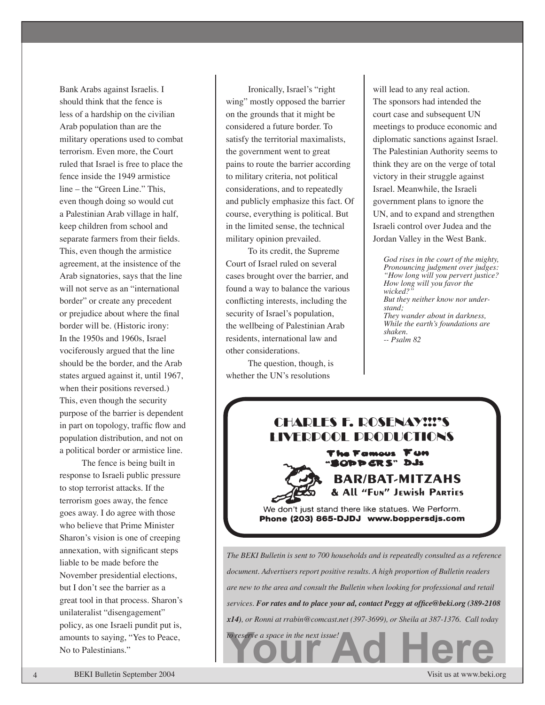Bank Arabs against Israelis. I should think that the fence is less of a hardship on the civilian Arab population than are the military operations used to combat terrorism. Even more, the Court ruled that Israel is free to place the fence inside the 1949 armistice line – the "Green Line." This, even though doing so would cut a Palestinian Arab village in half, keep children from school and separate farmers from their fields. This, even though the armistice agreement, at the insistence of the Arab signatories, says that the line will not serve as an "international border" or create any precedent or prejudice about where the final border will be. (Historic irony: In the 1950s and 1960s, Israel vociferously argued that the line should be the border, and the Arab states argued against it, until 1967, when their positions reversed.) This, even though the security purpose of the barrier is dependent in part on topology, traffic flow and population distribution, and not on a political border or armistice line.

The fence is being built in response to Israeli public pressure to stop terrorist attacks. If the terrorism goes away, the fence goes away. I do agree with those who believe that Prime Minister Sharon's vision is one of creeping annexation, with significant steps liable to be made before the November presidential elections, but I don't see the barrier as a great tool in that process. Sharon's unilateralist "disengagement" policy, as one Israeli pundit put is, amounts to saying, "Yes to Peace, No to Palestinians."

Ironically, Israel's "right wing" mostly opposed the barrier on the grounds that it might be considered a future border. To satisfy the territorial maximalists, the government went to great pains to route the barrier according to military criteria, not political considerations, and to repeatedly and publicly emphasize this fact. Of course, everything is political. But in the limited sense, the technical military opinion prevailed.

To its credit, the Supreme Court of Israel ruled on several cases brought over the barrier, and found a way to balance the various conflicting interests, including the security of Israel's population, the wellbeing of Palestinian Arab residents, international law and other considerations.

The question, though, is whether the UN's resolutions

*to reserve a space in the next issue!*

will lead to any real action. The sponsors had intended the court case and subsequent UN meetings to produce economic and diplomatic sanctions against Israel. The Palestinian Authority seems to think they are on the verge of total victory in their struggle against Israel. Meanwhile, the Israeli government plans to ignore the UN, and to expand and strengthen Israeli control over Judea and the Jordan Valley in the West Bank.

*God rises in the court of the mighty, Pronouncing judgment over judges: "How long will you pervert justice? How long will you favor the wicked?" But they neither know nor understand; They wander about in darkness, While the earth's foundations are shaken. -- Psalm 82*

# **CHARLES F. ROSENAY!!!'S INFRPOOL PRODUCTIONS**

The Famous Fun ODD CRS" DJs



We don't just stand there like statues. We Perform. Phone (203) 865-DJDJ www.boppersdjs.com

**Your Address Address Address Address Address Address Address Address Address Address Address Address Address Address Address Address Address Address Address Address Address Address Address Address Address Address Address** *The BEKI Bulletin is sent to 700 households and is repeatedly consulted as a reference document. Advertisers report positive results. A high proportion of Bulletin readers are new to the area and consult the Bulletin when looking for professional and retail services. For rates and to place your ad, contact Peggy at office@beki.org (389-2108 x14), or Ronni at rrabin@comcast.net (397-3699), or Sheila at 387-1376. Call today* 

4 BEKI Bulletin September 2004 Visit us at www.beki.org BEKI Bulletin September 2004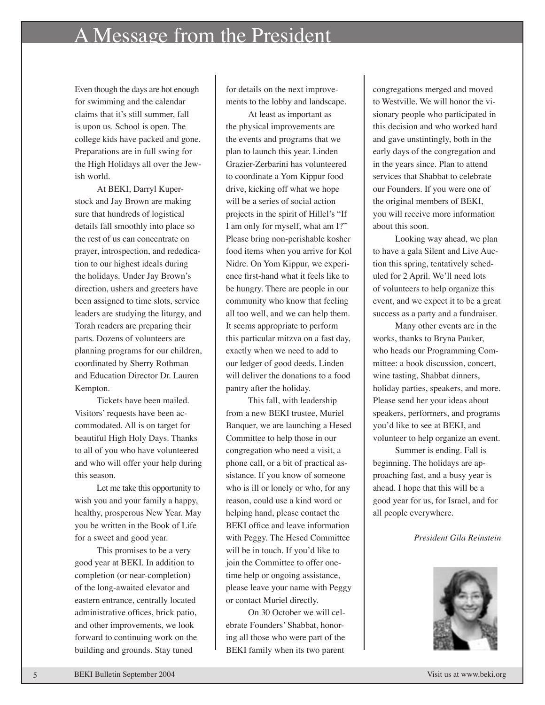# A Message from the President

Even though the days are hot enough for swimming and the calendar claims that it's still summer, fall is upon us. School is open. The college kids have packed and gone. Preparations are in full swing for the High Holidays all over the Jewish world.

 At BEKI, Darryl Kuperstock and Jay Brown are making sure that hundreds of logistical details fall smoothly into place so the rest of us can concentrate on prayer, introspection, and rededication to our highest ideals during the holidays. Under Jay Brown's direction, ushers and greeters have been assigned to time slots, service leaders are studying the liturgy, and Torah readers are preparing their parts. Dozens of volunteers are planning programs for our children, coordinated by Sherry Rothman and Education Director Dr. Lauren Kempton.

Tickets have been mailed. Visitors' requests have been accommodated. All is on target for beautiful High Holy Days. Thanks to all of you who have volunteered and who will offer your help during this season.

Let me take this opportunity to wish you and your family a happy, healthy, prosperous New Year. May you be written in the Book of Life for a sweet and good year.

This promises to be a very good year at BEKI. In addition to completion (or near-completion) of the long-awaited elevator and eastern entrance, centrally located administrative offices, brick patio, and other improvements, we look forward to continuing work on the building and grounds. Stay tuned

for details on the next improvements to the lobby and landscape.

At least as important as the physical improvements are the events and programs that we plan to launch this year. Linden Grazier-Zerbarini has volunteered to coordinate a Yom Kippur food drive, kicking off what we hope will be a series of social action projects in the spirit of Hillel's "If I am only for myself, what am I?" Please bring non-perishable kosher food items when you arrive for Kol Nidre. On Yom Kippur, we experience first-hand what it feels like to be hungry. There are people in our community who know that feeling all too well, and we can help them. It seems appropriate to perform this particular mitzva on a fast day, exactly when we need to add to our ledger of good deeds. Linden will deliver the donations to a food pantry after the holiday.

This fall, with leadership from a new BEKI trustee, Muriel Banquer, we are launching a Hesed Committee to help those in our congregation who need a visit, a phone call, or a bit of practical assistance. If you know of someone who is ill or lonely or who, for any reason, could use a kind word or helping hand, please contact the BEKI office and leave information with Peggy. The Hesed Committee will be in touch. If you'd like to join the Committee to offer onetime help or ongoing assistance, please leave your name with Peggy or contact Muriel directly.

On 30 October we will celebrate Founders' Shabbat, honoring all those who were part of the BEKI family when its two parent

congregations merged and moved to Westville. We will honor the visionary people who participated in this decision and who worked hard and gave unstintingly, both in the early days of the congregation and in the years since. Plan to attend services that Shabbat to celebrate our Founders. If you were one of the original members of BEKI, you will receive more information about this soon.

Looking way ahead, we plan to have a gala Silent and Live Auction this spring, tentatively scheduled for 2 April. We'll need lots of volunteers to help organize this event, and we expect it to be a great success as a party and a fundraiser.

 Many other events are in the works, thanks to Bryna Pauker, who heads our Programming Committee: a book discussion, concert, wine tasting, Shabbat dinners, holiday parties, speakers, and more. Please send her your ideas about speakers, performers, and programs you'd like to see at BEKI, and volunteer to help organize an event.

Summer is ending. Fall is beginning. The holidays are approaching fast, and a busy year is ahead. I hope that this will be a good year for us, for Israel, and for all people everywhere.

#### *President Gila Reinstein*

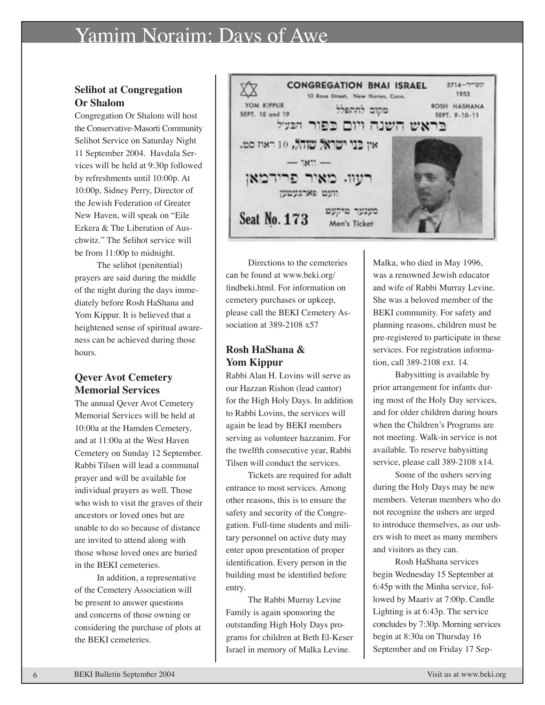# Yamim Noraim: Days of Awe

#### **Selihot at Congregation Or Shalom**

Congregation Or Shalom will host the Conservative-Masorti Community Selihot Service on Saturday Night 11 September 2004. Havdala Services will be held at 9:30p followed by refreshments until 10:00p. At 10:00p, Sidney Perry, Director of the Jewish Federation of Greater New Haven, will speak on "Eile Ezkera & The Liberation of Auschwitz." The Selihot service will be from 11:00p to midnight.

The selihot (penitential) prayers are said during the middle of the night during the days immediately before Rosh HaShana and Yom Kippur. It is believed that a heightened sense of spiritual awareness can be achieved during those hours.

#### **Qever Avot Cemetery Memorial Services**

The annual Qever Avot Cemetery Memorial Services will be held at 10:00a at the Hamden Cemetery, and at 11:00a at the West Haven Cemetery on Sunday 12 September. Rabbi Tilsen will lead a communal prayer and will be available for individual prayers as well. Those who wish to visit the graves of their ancestors or loved ones but are unable to do so because of distance are invited to attend along with those whose loved ones are buried in the BEKI cemeteries.

In addition, a representative of the Cemetery Association will be present to answer questions and concerns of those owning or considering the purchase of plots at the BEKI cemeteries.



Directions to the cemeteries can be found at www.beki.org/ findbeki.html. For information on cemetery purchases or upkeep, please call the BEKI Cemetery Association at 389-2108 x57

#### **Rosh HaShana & Yom Kippur**

Rabbi Alan H. Lovins will serve as our Hazzan Rishon (lead cantor) for the High Holy Days. In addition to Rabbi Lovins, the services will again be lead by BEKI members serving as volunteer hazzanim. For the twelfth consecutive year, Rabbi Tilsen will conduct the services.

Tickets are required for adult entrance to most services. Among other reasons, this is to ensure the safety and security of the Congregation. Full-time students and military personnel on active duty may enter upon presentation of proper identification. Every person in the building must be identified before entry.

The Rabbi Murray Levine Family is again sponsoring the outstanding High Holy Days programs for children at Beth El-Keser Israel in memory of Malka Levine.

Malka, who died in May 1996, was a renowned Jewish educator and wife of Rabbi Murray Levine. She was a beloved member of the BEKI community. For safety and planning reasons, children must be pre-registered to participate in these services. For registration information, call 389-2108 ext. 14.

Babysitting is available by prior arrangement for infants during most of the Holy Day services, and for older children during hours when the Children's Programs are not meeting. Walk-in service is not available. To reserve babysitting service, please call 389-2108 x14.

Some of the ushers serving during the Holy Days may be new members. Veteran members who do not recognize the ushers are urged to introduce themselves, as our ushers wish to meet as many members and visitors as they can.

Rosh HaShana services begin Wednesday 15 September at 6:45p with the Minha service, followed by Maariv at 7:00p. Candle Lighting is at 6:43p. The service concludes by 7:30p. Morning services begin at 8:30a on Thursday 16 September and on Friday 17 Sep-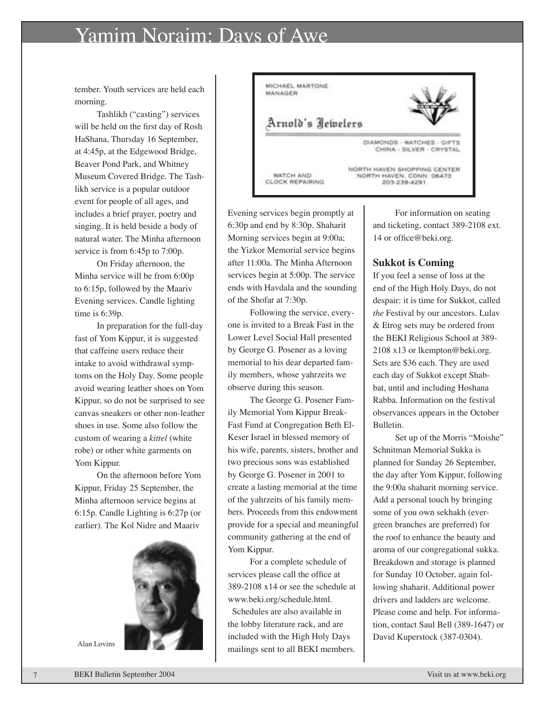# Yamim Noraim: Days of Awe

tember. Youth services are held each morning.

Tashlikh ("casting") services will be held on the first day of Rosh HaShana, Thursday 16 September, at 4:45p, at the Edgewood Bridge, Beaver Pond Park, and Whitney Museum Covered Bridge. The Tashlikh service is a popular outdoor event for people of all ages, and includes a brief prayer, poetry and singing. It is held beside a body of natural water. The Minha afternoon service is from 6:45p to 7:00p.

On Friday afternoon, the Minha service will be from 6:00p to 6:15p, followed by the Maariv Evening services. Candle lighting time is 6:39p.

In preparation for the full-day fast of Yom Kippur, it is suggested that caffeine users reduce their intake to avoid withdrawal symptoms on the Holy Day. Some people avoid wearing leather shoes on Yom Kippur, so do not be surprised to see canvas sneakers or other non-leather shoes in use. Some also follow the custom of wearing a *kittel* (white robe) or other white garments on Yom Kippur.

On the afternoon before Yom Kippur, Friday 25 September, the Minha afternoon service begins at 6:15p. Candle Lighting is 6:27p (or earlier). The Kol Nidre and Maariv





Evening services begin promptly at 6:30p and end by 8:30p. Shaharit Morning services begin at 9:00a; the Yizkor Memorial service begins after 11:00a. The Minha Afternoon services begin at 5:00p. The service ends with Havdala and the sounding of the Shofar at 7:30p.

Following the service, everyone is invited to a Break Fast in the Lower Level Social Hall presented by George G. Posener as a loving memorial to his dear departed family members, whose yahrzeits we observe during this season.

The George G. Posener Family Memorial Yom Kippur Break-Fast Fund at Congregation Beth El-Keser Israel in blessed memory of his wife, parents, sisters, brother and two precious sons was established by George G. Posener in 2001 to create a lasting memorial at the time of the yahrzeits of his family members. Proceeds from this endowment provide for a special and meaningful community gathering at the end of Yom Kippur.

For a complete schedule of services please call the office at 389-2108 x14 or see the schedule at www.beki.org/schedule.html.

 Schedules are also available in the lobby literature rack, and are included with the High Holy Days Alan Lovins **and Lovins** mailings sent to all BEKI members.

For information on seating and ticketing, contact 389-2108 ext. 14 or office@beki.org.

#### **Sukkot is Coming**

If you feel a sense of loss at the end of the High Holy Days, do not despair: it is time for Sukkot, called *the* Festival by our ancestors. Lulav & Etrog sets may be ordered from the BEKI Religious School at 389- 2108 x13 or lkempton@beki.org. Sets are \$36 each. They are used each day of Sukkot except Shabbat, until and including Hoshana Rabba. Information on the festival observances appears in the October Bulletin.

Set up of the Morris "Moishe" Schnitman Memorial Sukka is planned for Sunday 26 September, the day after Yom Kippur, following the 9:00a shaharit morning service. Add a personal touch by bringing some of you own sekhakh (evergreen branches are preferred) for the roof to enhance the beauty and aroma of our congregational sukka. Breakdown and storage is planned for Sunday 10 October, again following shaharit. Additional power drivers and ladders are welcome. Please come and help. For information, contact Saul Bell (389-1647) or David Kuperstock (387-0304).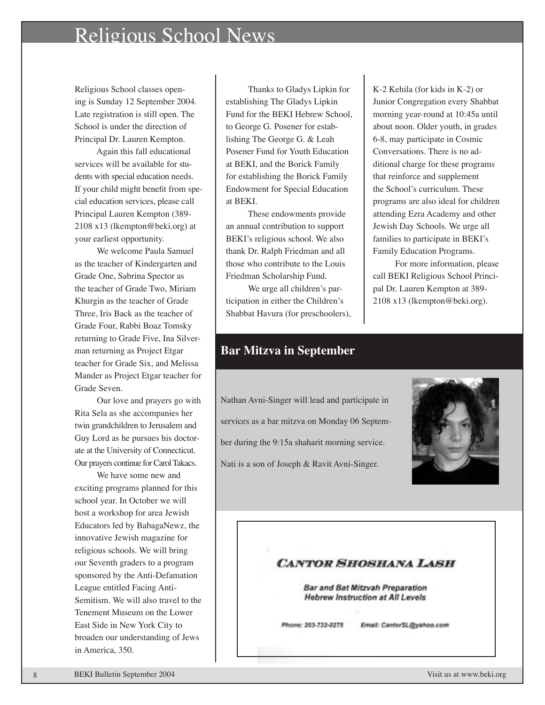# Religious School News

Religious School classes opening is Sunday 12 September 2004. Late registration is still open. The School is under the direction of Principal Dr. Lauren Kempton.

Again this fall educational services will be available for students with special education needs. If your child might benefit from special education services, please call Principal Lauren Kempton (389- 2108 x13 (lkempton@beki.org) at your earliest opportunity.

We welcome Paula Samuel as the teacher of Kindergarten and Grade One, Sabrina Spector as the teacher of Grade Two, Miriam Khurgin as the teacher of Grade Three, Iris Back as the teacher of Grade Four, Rabbi Boaz Tomsky returning to Grade Five, Ina Silverman returning as Project Etgar teacher for Grade Six, and Melissa Mander as Project Etgar teacher for Grade Seven.

 Our love and prayers go with Rita Sela as she accompanies her twin grandchildren to Jerusalem and Guy Lord as he pursues his doctorate at the University of Connecticut. Our prayers continue for Carol Takacs.

We have some new and exciting programs planned for this school year. In October we will host a workshop for area Jewish Educators led by BabagaNewz, the innovative Jewish magazine for religious schools. We will bring our Seventh graders to a program sponsored by the Anti-Defamation League entitled Facing Anti-Semitism. We will also travel to the Tenement Museum on the Lower East Side in New York City to broaden our understanding of Jews in America, 350.

Thanks to Gladys Lipkin for establishing The Gladys Lipkin Fund for the BEKI Hebrew School, to George G. Posener for establishing The George G. & Leah Posener Fund for Youth Education at BEKI, and the Borick Family for establishing the Borick Family Endowment for Special Education at BEKI.

These endowments provide an annual contribution to support BEKI's religious school. We also thank Dr. Ralph Friedman and all those who contribute to the Louis Friedman Scholarship Fund.

We urge all children's participation in either the Children's Shabbat Havura (for preschoolers),

K-2 Kehila (for kids in K-2) or Junior Congregation every Shabbat morning year-round at 10:45a until about noon. Older youth, in grades 6-8, may participate in Cosmic Conversations. There is no additional charge for these programs that reinforce and supplement the School's curriculum. These programs are also ideal for children attending Ezra Academy and other Jewish Day Schools. We urge all families to participate in BEKI's Family Education Programs.

For more information, please call BEKI Religious School Principal Dr. Lauren Kempton at 389- 2108 x13 (lkempton@beki.org).

#### **Bar Mitzva in September**

Nathan Avni-Singer will lead and participate in services as a bar mitzva on Monday 06 September during the 9:15a shaharit morning service. Nati is a son of Joseph & Ravit Avni-Singer.



#### **CANTOR SHOSHANA LASH**

**Bar and Bat Mitzvah Preparation** Hebrew Instruction at All Levels

Phone: 203-732-0275 Email: CantorSL@yahoo.com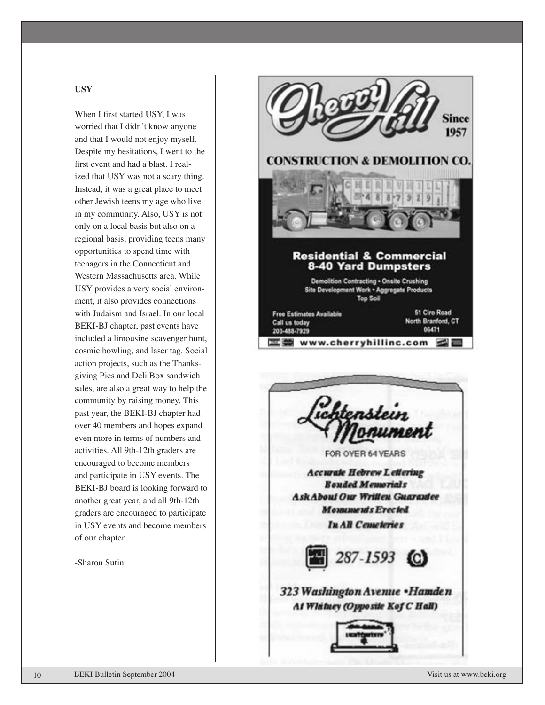#### **USY**

When I first started USY, I was worried that I didn't know anyone and that I would not enjoy myself. Despite my hesitations, I went to the first event and had a blast. I real ized that USY was not a scary thing. Instead, it was a great place to meet other Jewish teens my age who live in my community. Also, USY is not only on a local basis but also on a regional basis, providing teens many opportunities to spend time with teenagers in the Connecticut and Western Massachusetts area. While USY provides a very social environ ment, it also provides connections with Judaism and Israel. In our local BEKI-BJ chapter, past events have included a limousine scavenger hunt, cosmic bowling, and laser tag. Social action projects, such as the Thanks giving Pies and Deli Box sandwich sales, are also a great way to help the community by raising money. This past year, the BEKI-BJ chapter had over 40 members and hopes expand even more in terms of numbers and activities. All 9th-12th graders are encouraged to become members and participate in USY events. The BEKI-BJ board is looking forward to another great year, and all 9th-12th graders are encouraged to participate in USY events and become members of our chapter.

-Sharon Sutin

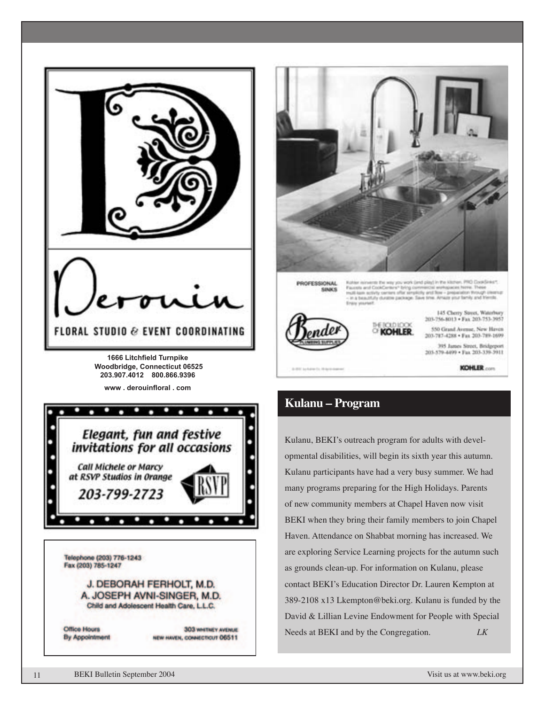



## **Kulanu – Program**

Kulanu, BEKI's outreach program for adults with developmental disabilities, will begin its sixth year this autumn. Kulanu participants have had a very busy summer. We had many programs preparing for the High Holidays. Parents of new community members at Chapel Haven now visit BEKI when they bring their family members to join Chapel Haven. Attendance on Shabbat morning has increased. We are exploring Service Learning projects for the autumn such as grounds clean-up. For information on Kulanu, please contact BEKI's Education Director Dr. Lauren Kempton at 389-2108 x13 Lkempton@beki.org. Kulanu is funded by the David & Lillian Levine Endowment for People with Special Needs at BEKI and by the Congregation. *LK*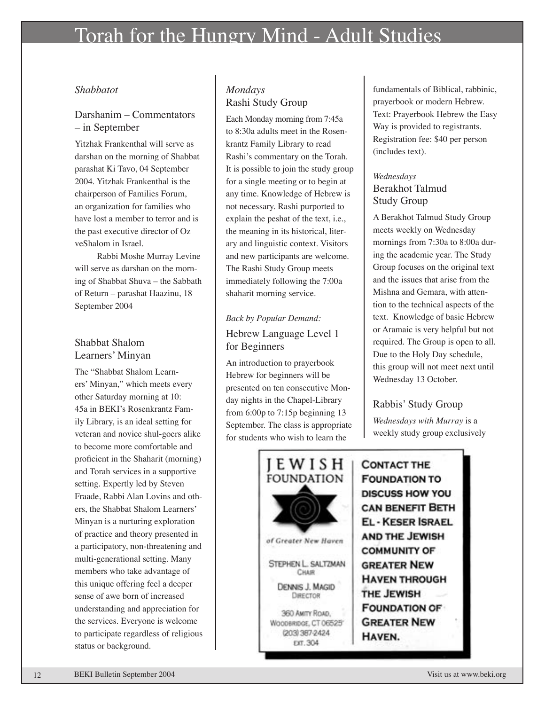# Torah for the Hungry Mind - Adult Studies

#### *Shabbatot*

#### Darshanim – Commentators – in September

Yitzhak Frankenthal will serve as darshan on the morning of Shabbat parashat Ki Tavo, 04 September 2004. Yitzhak Frankenthal is the chairperson of Families Forum, an organization for families who have lost a member to terror and is the past executive director of Oz veShalom in Israel.

Rabbi Moshe Murray Levine will serve as darshan on the morning of Shabbat Shuva – the Sabbath of Return – parashat Haazinu, 18 September 2004

#### Shabbat Shalom Learners' Minyan

The "Shabbat Shalom Learners' Minyan," which meets every other Saturday morning at 10: 45a in BEKI's Rosenkrantz Family Library, is an ideal setting for veteran and novice shul-goers alike to become more comfortable and proficient in the Shaharit (morning) and Torah services in a supportive setting. Expertly led by Steven Fraade, Rabbi Alan Lovins and others, the Shabbat Shalom Learners' Minyan is a nurturing exploration of practice and theory presented in a participatory, non-threatening and multi-generational setting. Many members who take advantage of this unique offering feel a deeper sense of awe born of increased understanding and appreciation for the services. Everyone is welcome to participate regardless of religious status or background.

### *Mondays* Rashi Study Group

Each Monday morning from 7:45a to 8:30a adults meet in the Rosenkrantz Family Library to read Rashi's commentary on the Torah. It is possible to join the study group for a single meeting or to begin at any time. Knowledge of Hebrew is not necessary. Rashi purported to explain the peshat of the text, i.e., the meaning in its historical, literary and linguistic context. Visitors and new participants are welcome. The Rashi Study Group meets immediately following the 7:00a shaharit morning service.

### *Back by Popular Demand:* Hebrew Language Level 1 for Beginners

An introduction to prayerbook Hebrew for beginners will be presented on ten consecutive Monday nights in the Chapel-Library from 6:00p to 7:15p beginning 13 September. The class is appropriate for students who wish to learn the



fundamentals of Biblical, rabbinic, prayerbook or modern Hebrew. Text: Prayerbook Hebrew the Easy Way is provided to registrants. Registration fee: \$40 per person (includes text).

#### *Wednesdays* Berakhot Talmud Study Group

A Berakhot Talmud Study Group meets weekly on Wednesday mornings from 7:30a to 8:00a during the academic year. The Study Group focuses on the original text and the issues that arise from the Mishna and Gemara, with attention to the technical aspects of the text. Knowledge of basic Hebrew or Aramaic is very helpful but not required. The Group is open to all. Due to the Holy Day schedule, this group will not meet next until Wednesday 13 October.

### Rabbis' Study Group

*Wednesdays with Murray* is a weekly study group exclusively

**CONTACT THE FOUNDATION TO DISCUSS HOW YOU CAN BENEFIT BETH EL - KESER ISRAEL AND THE JEWISH COMMUNITY OF GREATER NEW HAVEN THROUGH** THE JEWISH **FOUNDATION OF GREATER NEW** HAVEN.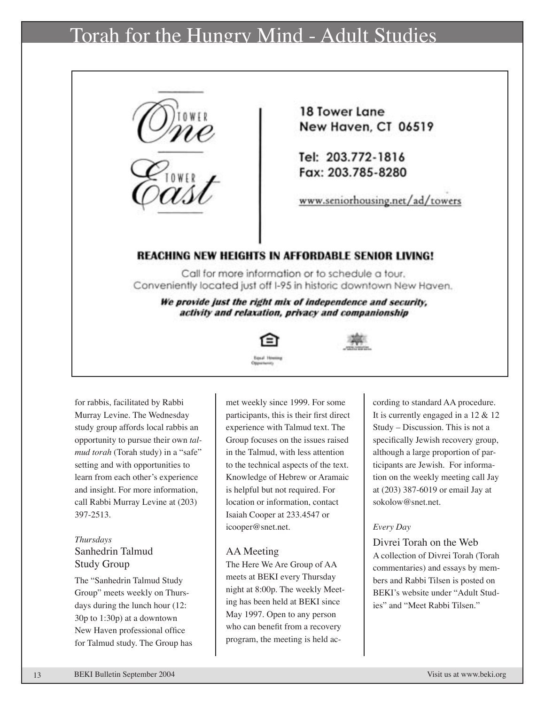# Torah for the Hungry Mind - Adult Studies



for rabbis, facilitated by Rabbi Murray Levine. The Wednesday study group affords local rabbis an opportunity to pursue their own *talmud torah* (Torah study) in a "safe" setting and with opportunities to learn from each other's experience and insight. For more information, call Rabbi Murray Levine at (203) 397-2513.

#### *Thursdays* Sanhedrin Talmud Study Group

The "Sanhedrin Talmud Study Group" meets weekly on Thursdays during the lunch hour (12: 30p to 1:30p) at a downtown New Haven professional office for Talmud study. The Group has met weekly since 1999. For some participants, this is their first direct experience with Talmud text. The Group focuses on the issues raised in the Talmud, with less attention to the technical aspects of the text. Knowledge of Hebrew or Aramaic is helpful but not required. For location or information, contact Isaiah Cooper at 233.4547 or icooper@snet.net.

#### AA Meeting

The Here We Are Group of AA meets at BEKI every Thursday night at 8:00p. The weekly Meeting has been held at BEKI since May 1997. Open to any person who can benefit from a recovery program, the meeting is held according to standard AA procedure. It is currently engaged in a 12 & 12 Study – Discussion. This is not a specifically Jewish recovery group, although a large proportion of participants are Jewish. For information on the weekly meeting call Jay at (203) 387-6019 or email Jay at sokolow@snet.net.

#### *Every Day*

Divrei Torah on the Web A collection of Divrei Torah (Torah commentaries) and essays by members and Rabbi Tilsen is posted on BEKI's website under "Adult Studies" and "Meet Rabbi Tilsen."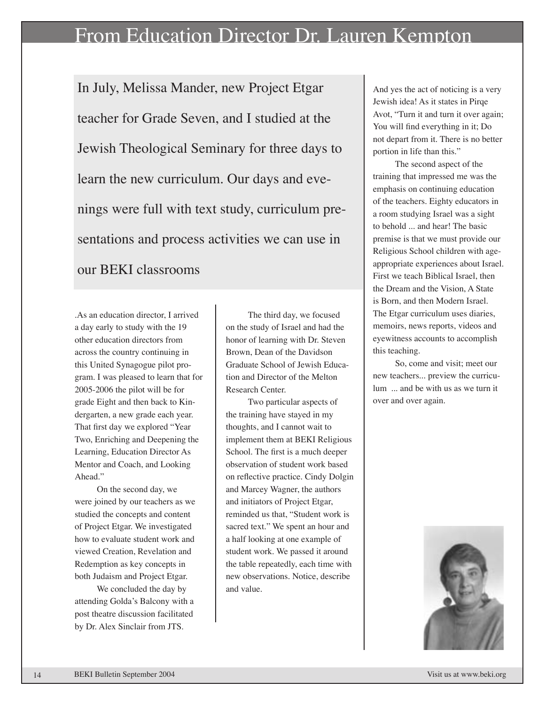# From Education Director Dr. Lauren Kempton

In July, Melissa Mander, new Project Etgar teacher for Grade Seven, and I studied at the Jewish Theological Seminary for three days to learn the new curriculum. Our days and evenings were full with text study, curriculum presentations and process activities we can use in our BEKI classrooms

.As an education director, I arrived a day early to study with the 19 other education directors from across the country continuing in this United Synagogue pilot program. I was pleased to learn that for 2005-2006 the pilot will be for grade Eight and then back to Kindergarten, a new grade each year. That first day we explored "Year Two, Enriching and Deepening the Learning, Education Director As Mentor and Coach, and Looking Ahead."

On the second day, we were joined by our teachers as we studied the concepts and content of Project Etgar. We investigated how to evaluate student work and viewed Creation, Revelation and Redemption as key concepts in both Judaism and Project Etgar.

We concluded the day by attending Golda's Balcony with a post theatre discussion facilitated by Dr. Alex Sinclair from JTS.

The third day, we focused on the study of Israel and had the honor of learning with Dr. Steven Brown, Dean of the Davidson Graduate School of Jewish Education and Director of the Melton Research Center.

Two particular aspects of the training have stayed in my thoughts, and I cannot wait to implement them at BEKI Religious School. The first is a much deeper observation of student work based on reflective practice. Cindy Dolgin and Marcey Wagner, the authors and initiators of Project Etgar, reminded us that, "Student work is sacred text." We spent an hour and a half looking at one example of student work. We passed it around the table repeatedly, each time with new observations. Notice, describe and value.

And yes the act of noticing is a very Jewish idea! As it states in Pirqe Avot, "Turn it and turn it over again; You will find everything in it; Do not depart from it. There is no better portion in life than this."

The second aspect of the training that impressed me was the emphasis on continuing education of the teachers. Eighty educators in a room studying Israel was a sight to behold ... and hear! The basic premise is that we must provide our Religious School children with ageappropriate experiences about Israel. First we teach Biblical Israel, then the Dream and the Vision, A State is Born, and then Modern Israel. The Etgar curriculum uses diaries, memoirs, news reports, videos and eyewitness accounts to accomplish this teaching.

So, come and visit; meet our new teachers... preview the curriculum ... and be with us as we turn it over and over again.

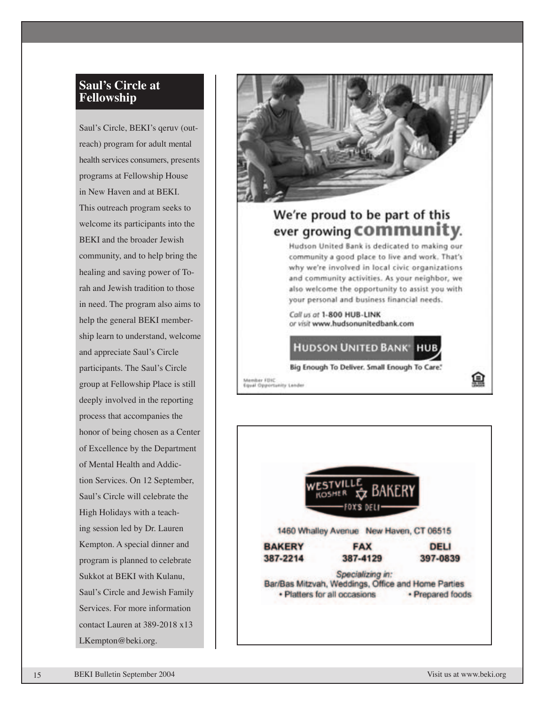### **Saul's Circle at Fellowship**

Saul's Circle, BEKI's qeruv (out reach) program for adult mental health services consumers, presents programs at Fellowship House in New Haven and at BEKI. This outreach program seeks to welcome its participants into the BEKI and the broader Jewish community, and to help bring the healing and saving power of To rah and Jewish tradition to those in need. The program also aims to help the general BEKI member ship learn to understand, welcome and appreciate Saul's Circle participants. The Saul's Circle group at Fellowship Place is still deeply involved in the reporting process that accompanies the honor of being chosen as a Center of Excellence by the Department of Mental Health and Addic tion Services. On 12 September, Saul's Circle will celebrate the High Holidays with a teach ing session led by Dr. Lauren Kempton. A special dinner and program is planned to celebrate Sukkot at BEKI with Kulanu, Saul's Circle and Jewish Family Services. For more information contact Lauren at 389-2018 x13 LKempton@beki.org.



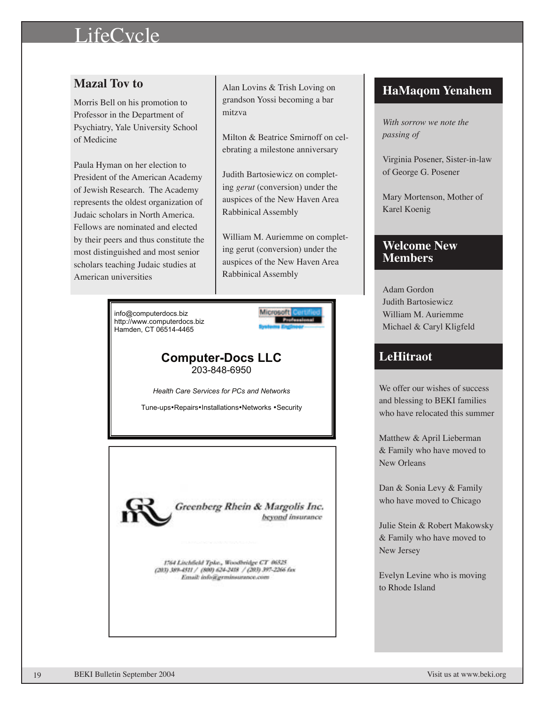# LifeCycle

# **Mazal Tov to**

Morris Bell on his promotion to Professor in the Department of Psychiatry, Yale University School of Medicine

Paula Hyman on her election to President of the American Academy of Jewish Research. The Academy represents the oldest organization of Judaic scholars in North America. Fellows are nominated and elected by their peers and thus constitute the most distinguished and most senior scholars teaching Judaic studies at American universities

> info@computerdocs.biz http://www.computerdocs.biz Hamden, CT 06514-4465

Alan Lovins & Trish Loving on grandson Yossi becoming a bar mitzva

Milton & Beatrice Smirnoff on celebrating a milestone anniversary

Judith Bartosiewicz on completing *gerut* (conversion) under the auspices of the New Haven Area Rabbinical Assembly

William M. Auriemme on completing gerut (conversion) under the auspices of the New Haven Area Rabbinical Assembly



#### **Computer-Docs LLC** 203-848-6950

*Health Care Services for PCs and Networks*

Tune-ups•Repairs•Installations•Networks •Security



Greenberg Rhein & Margolis Inc. beyond insurance

1764 Litchfield Tpke., Woodbridge CT 06325 (203) 389-4511 / (800) 624-2418 / (203) 397-2266 fax Easil: lafo@grminsurance.com

### **HaMaqom Yenahem**

*With sorrow we note the passing of*

Virginia Posener, Sister-in-law of George G. Posener

Mary Mortenson, Mother of Karel Koenig

### **Welcome New Members**

Adam Gordon Judith Bartosiewicz William M. Auriemme Michael & Caryl Kligfeld

# **LeHitraot**

We offer our wishes of success and blessing to BEKI families who have relocated this summer

Matthew & April Lieberman & Family who have moved to New Orleans

Dan & Sonia Levy & Family who have moved to Chicago

Julie Stein & Robert Makowsky & Family who have moved to New Jersey

Evelyn Levine who is moving to Rhode Island

19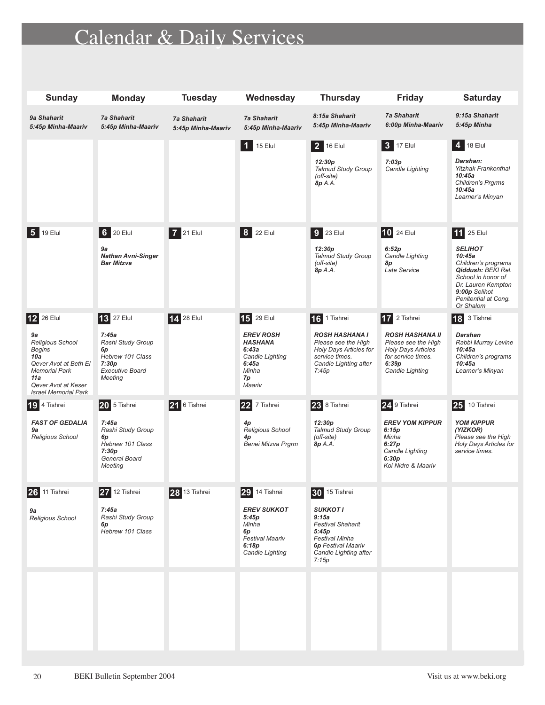# Calendar & Daily Services

| <b>Sunday</b>                                                                                                                                                              | <b>Monday</b>                                                                                                           | <b>Tuesday</b>                           | Wednesday                                                                                                            | <b>Thursday</b>                                                                                                                                                          | <b>Friday</b>                                                                                                                                | <b>Saturday</b>                                                                                                                                                                              |
|----------------------------------------------------------------------------------------------------------------------------------------------------------------------------|-------------------------------------------------------------------------------------------------------------------------|------------------------------------------|----------------------------------------------------------------------------------------------------------------------|--------------------------------------------------------------------------------------------------------------------------------------------------------------------------|----------------------------------------------------------------------------------------------------------------------------------------------|----------------------------------------------------------------------------------------------------------------------------------------------------------------------------------------------|
| 9a Shaharit<br>5:45p Minha-Maariv                                                                                                                                          | <b>7a Shaharit</b><br>5:45p Minha-Maariv                                                                                | <b>7a Shaharit</b><br>5:45p Minha-Maariv | <b>7a Shaharit</b><br>5:45p Minha-Maariv                                                                             | 8:15a Shaharit<br>5:45p Minha-Maariv                                                                                                                                     | <b>7a Shaharit</b><br>6:00p Minha-Maariv                                                                                                     | 9:15a Shaharit<br>5:45p Minha                                                                                                                                                                |
|                                                                                                                                                                            |                                                                                                                         |                                          | $\overline{1}$<br>15 Elul                                                                                            | 2 16 Elul<br>12:30p<br><b>Talmud Study Group</b><br>(off-site)<br>8p A.A.                                                                                                | 3 17 Elul<br>7:03p<br>Candle Lighting                                                                                                        | 4 18 Elul<br>Darshan:<br><b>Yitzhak Frankenthal</b><br>10:45a<br>Children's Prgrms<br>10:45a<br>Learner's Minyan                                                                             |
| l 5 l<br>19 Elul                                                                                                                                                           | 6 20 Elul<br>9a<br><b>Nathan Avni-Singer</b><br><b>Bar Mitzva</b>                                                       | 7 21 Elul                                | 8  <br>22 Elul                                                                                                       | $9$ 23 Elul<br>12:30p<br><b>Talmud Study Group</b><br>(off-site)<br>8p A.A.                                                                                              | <b>10 24 Elul</b><br>6:52p<br>Candle Lighting<br>8p<br>Late Service                                                                          | <b>11</b> 25 Elul<br><b>SELIHOT</b><br>10:45a<br>Children's programs<br>Qiddush: BEKI Rel.<br>School in honor of<br>Dr. Lauren Kempton<br>9:00p Selihot<br>Penitential at Cong.<br>Or Shalom |
| 12 26 Elul<br>9a<br><b>Religious School</b><br>Begins<br>10a<br>Qever Avot at Beth El<br><b>Memorial Park</b><br>11a<br>Qever Avot at Keser<br><b>Israel Memorial Park</b> | <b>13</b> 27 Elul<br>7:45a<br>Rashi Study Group<br>6p<br>Hebrew 101 Class<br>7:30p<br><b>Executive Board</b><br>Meeting | 14 28 Elul                               | 15 29 Elul<br><b>EREV ROSH</b><br><b>HASHANA</b><br>6:43a<br>Candle Lighting<br>6:45a<br>Minha<br>7p<br>Maariv       | 16 1 Tishrei<br><b>ROSH HASHANA I</b><br>Please see the High<br>Holy Days Articles for<br>service times.<br>Candle Lighting after<br>7:45p                               | 17 2 Tishrei<br><b>ROSH HASHANA II</b><br>Please see the High<br><b>Holy Days Articles</b><br>for service times.<br>6:39p<br>Candle Lighting | 3 Tishrei<br>18<br><b>Darshan</b><br>Rabbi Murray Levine<br>10:45a<br>Children's programs<br>10:45a<br>Learner's Minyan                                                                      |
| 4 Tishrei<br>l19 I<br><b>FAST OF GEDALIA</b><br>9a<br><b>Religious School</b>                                                                                              | 20 5 Tishrei<br>7:45a<br>Rashi Study Group<br>6p<br>Hebrew 101 Class<br>7:30p<br>General Board<br>Meeting               | 21 6 Tishrei                             | 22 7 Tishrei<br>4p<br><b>Religious School</b><br>4p<br>Benei Mitzva Prgrm                                            | 23 8 Tishrei<br>12:30p<br><b>Talmud Study Group</b><br>(off-site)<br>8p A.A.                                                                                             | 24 9 Tishrei<br><b>EREV YOM KIPPUR</b><br>6:15p<br>Minha<br>6:27p<br>Candle Lighting<br>6:30p<br>Koi Nidre & Maariv                          | 25 <br>10 Tishrei<br><b>YOM KIPPUR</b><br>(YIZKOR)<br>Please see the High<br>Holy Days Articles for<br>service times.                                                                        |
| 11 Tishrei<br>26<br>9а<br>Religious School                                                                                                                                 | 27 12 Tishrei<br>7:45a<br>Rashi Study Group<br>6p<br>Hebrew 101 Class                                                   | 28 13 Tishrei                            | 29<br>14 Tishrei<br><b>EREV SUKKOT</b><br>5:45p<br>Minha<br>6p<br><b>Festival Maariv</b><br>6:18p<br>Candle Lighting | 15 Tishrei<br>30<br><b>SUKKOTI</b><br>9:15a<br><b>Festival Shaharit</b><br>5:45p<br><b>Festival Minha</b><br><b>6p Festival Maariv</b><br>Candle Lighting after<br>7:15p |                                                                                                                                              |                                                                                                                                                                                              |
|                                                                                                                                                                            |                                                                                                                         |                                          |                                                                                                                      |                                                                                                                                                                          |                                                                                                                                              |                                                                                                                                                                                              |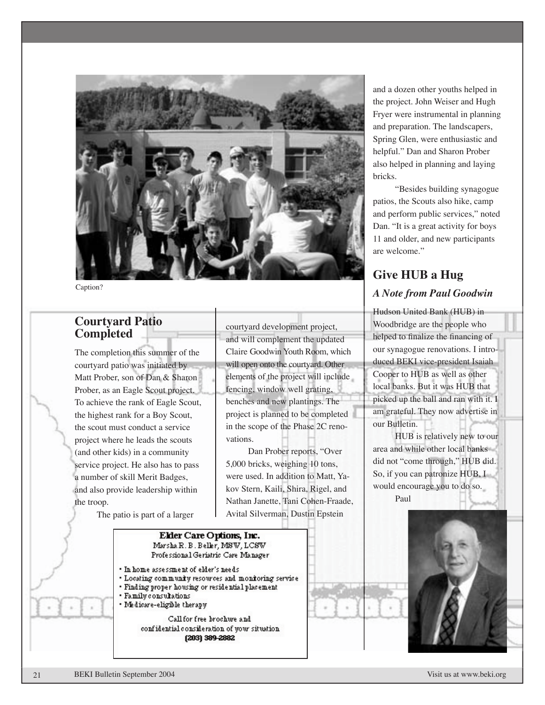

Caption?

#### **Courtyard Patio Completed**

The completion this summer of the courtyard patio was initiated by Matt Prober, son of Dan & Sharon Prober, as an Eagle Scout project. To achieve the rank of Eagle Scout, the highest rank for a Boy Scout, the scout must conduct a service project where he leads the scouts (and other kids) in a community service project. He also has to pass a number of skill Merit Badges, and also provide leadership within the troop.

The patio is part of a larger

courtyard development project, and will complement the updated Claire Goodwin Youth Room, which will open onto the courtyard. Other elements of the project will include fencing, window well grating, benches and new plantings. The project is planned to be completed in the scope of the Phase 2C renovations.

Dan Prober reports, "Over 5,000 bricks, weighing 10 tons, were used. In addition to Matt, Yakov Stern, Kaili, Shira, Rigel, and Nathan Janette, Tani Cohen-Fraade, Avital Silverman, Dustin Epstein

and a dozen other youths helped in the project. John Weiser and Hugh Fryer were instrumental in planning and preparation. The landscapers, Spring Glen, were enthusiastic and helpful." Dan and Sharon Prober also helped in planning and laying bricks.

"Besides building synagogue patios, the Scouts also hike, camp and perform public services," noted Dan. "It is a great activity for boys 11 and older, and new participants are welcome."

# **Give HUB a Hug** *A Note from Paul Goodwin*

Hudson United Bank (HUB) in Woodbridge are the people who helped to finalize the financing of our synagogue renovations. I introduced BEKI vice-president Isaiah Cooper to HUB as well as other local banks. But it was HUB that picked up the ball and ran with it. I am grateful. They now advertise in our Bulletin.

would encourage you to do so. HUB is relatively new to our area and while other local banks did not "come through," HUB did. So, if you can patronize HUB, I Paul

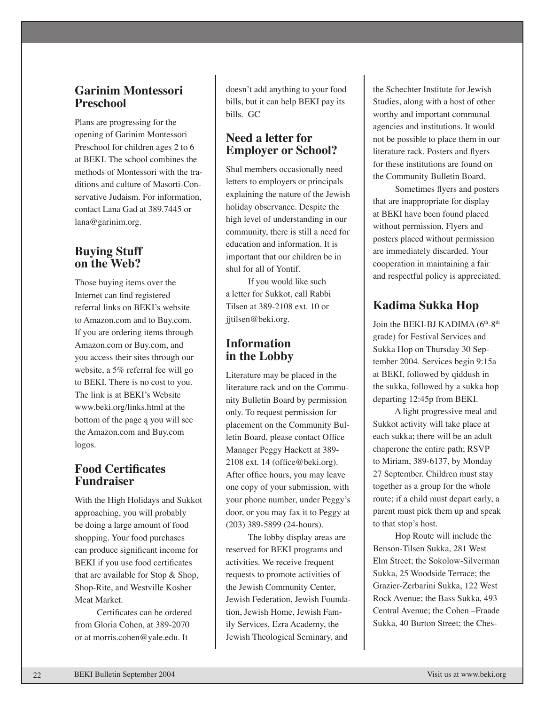### **Garinim Montessori Preschool**

Plans are progressing for the opening of Garinim Montessori Preschool for children ages 2 to 6 at BEKI. The school combines the methods of Montessori with the traditions and culture of Masorti-Conservative Judaism. For information, contact Lana Gad at 389.7445 or lana@garinim.org.

### **Buying Stuff on the Web?**

Those buying items over the Internet can find registered referral links on BEKI's website to Amazon.com and to Buy.com. If you are ordering items through Amazon.com or Buy.com, and you access their sites through our website, a 5% referral fee will go to BEKI. There is no cost to you. The link is at BEKI's Website www.beki.org/links.html at the bottom of the page ą you will see the Amazon.com and Buy.com logos.

## **Food Certificates Fundraiser**

With the High Holidays and Sukkot approaching, you will probably be doing a large amount of food shopping. Your food purchases can produce significant income for BEKI if you use food certificates that are available for Stop & Shop, Shop-Rite, and Westville Kosher Meat Market.

Certificates can be ordered from Gloria Cohen, at 389-2070 or at morris.cohen@yale.edu. It

doesn't add anything to your food bills, but it can help BEKI pay its bills. GC

# **Need a letter for Employer or School?**

Shul members occasionally need letters to employers or principals explaining the nature of the Jewish holiday observance. Despite the high level of understanding in our community, there is still a need for education and information. It is important that our children be in shul for all of Yontif.

If you would like such a letter for Sukkot, call Rabbi Tilsen at 389-2108 ext. 10 or jjtilsen@beki.org.

# **Information in the Lobby**

Literature may be placed in the literature rack and on the Community Bulletin Board by permission only. To request permission for placement on the Community Bulletin Board, please contact Office Manager Peggy Hackett at 389- 2108 ext. 14 (office@beki.org). After office hours, you may leave one copy of your submission, with your phone number, under Peggy's door, or you may fax it to Peggy at (203) 389-5899 (24-hours).

The lobby display areas are reserved for BEKI programs and activities. We receive frequent requests to promote activities of the Jewish Community Center, Jewish Federation, Jewish Foundation, Jewish Home, Jewish Family Services, Ezra Academy, the Jewish Theological Seminary, and

the Schechter Institute for Jewish Studies, along with a host of other worthy and important communal agencies and institutions. It would not be possible to place them in our literature rack. Posters and flyers for these institutions are found on the Community Bulletin Board.

Sometimes flyers and posters that are inappropriate for display at BEKI have been found placed without permission. Flyers and posters placed without permission are immediately discarded. Your cooperation in maintaining a fair and respectful policy is appreciated.

# **Kadima Sukka Hop**

Join the BEKI-BJ KADIMA (6<sup>th</sup>-8<sup>th</sup>) grade) for Festival Services and Sukka Hop on Thursday 30 September 2004. Services begin 9:15a at BEKI, followed by qiddush in the sukka, followed by a sukka hop departing 12:45p from BEKI.

A light progressive meal and Sukkot activity will take place at each sukka; there will be an adult chaperone the entire path; RSVP to Miriam, 389-6137, by Monday 27 September. Children must stay together as a group for the whole route; if a child must depart early, a parent must pick them up and speak to that stop's host.

Hop Route will include the Benson-Tilsen Sukka, 281 West Elm Street; the Sokolow-Silverman Sukka, 25 Woodside Terrace; the Grazier-Zerbarini Sukka, 122 West Rock Avenue; the Bass Sukka, 493 Central Avenue; the Cohen –Fraade Sukka, 40 Burton Street; the Ches-